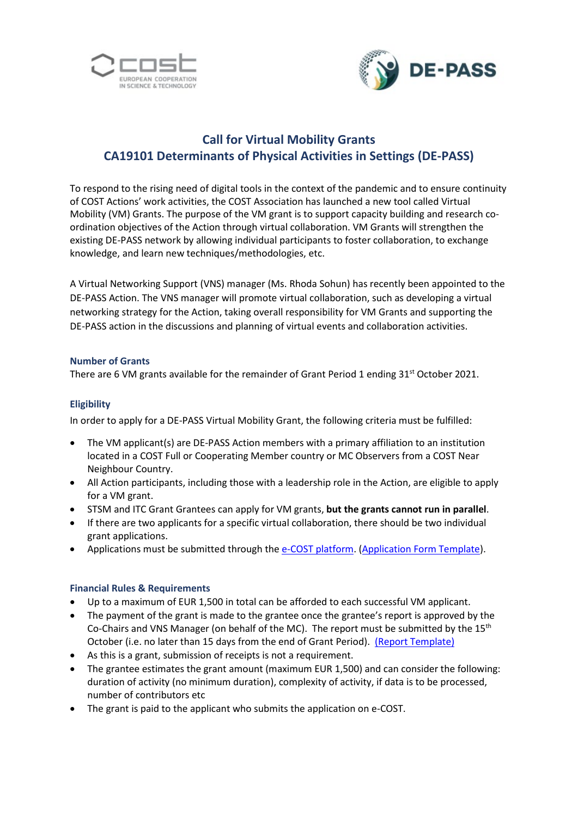



# **Call for Virtual Mobility Grants CA19101 Determinants of Physical Activities in Settings (DE-PASS)**

To respond to the rising need of digital tools in the context of the pandemic and to ensure continuity of COST Actions' work activities, the COST Association has launched a new tool called Virtual Mobility (VM) Grants. The purpose of the VM grant is to support capacity building and research coordination objectives of the Action through virtual collaboration. VM Grants will strengthen the existing DE-PASS network by allowing individual participants to foster collaboration, to exchange knowledge, and learn new techniques/methodologies, etc.

A Virtual Networking Support (VNS) manager (Ms. Rhoda Sohun) has recently been appointed to the DE-PASS Action. The VNS manager will promote virtual collaboration, such as developing a virtual networking strategy for the Action, taking overall responsibility for VM Grants and supporting the DE-PASS action in the discussions and planning of virtual events and collaboration activities.

#### **Number of Grants**

There are 6 VM grants available for the remainder of Grant Period 1 ending 31<sup>st</sup> October 2021.

### **Eligibility**

In order to apply for a DE-PASS Virtual Mobility Grant, the following criteria must be fulfilled:

- The VM applicant(s) are DE-PASS Action members with a primary affiliation to an institution located in a COST Full or Cooperating Member country or MC Observers from a COST Near Neighbour Country.
- All Action participants, including those with a leadership role in the Action, are eligible to apply for a VM grant.
- STSM and ITC Grant Grantees can apply for VM grants, **but the grants cannot run in parallel**.
- If there are two applicants for a specific virtual collaboration, there should be two individual grant applications.
- Applications must be submitted through the [e-COST platform.](https://e-services.cost.eu/user/login) [\(Application Form](https://depass.eu/wp-content/uploads/2021/07/VM-grant-application-template-_1__3.pdf) Template).

#### **Financial Rules & Requirements**

- Up to a maximum of EUR 1,500 in total can be afforded to each successful VM applicant.
- The payment of the grant is made to the grantee once the grantee's report is approved by the Co-Chairs and VNS Manager (on behalf of the MC). The report must be submitted by the  $15<sup>th</sup>$ October (i.e. no later than 15 days from the end of Grant Period). (Report [Template\)](https://depass.eu/wp-content/uploads/2021/07/VM-grant-report-template-1-_2_.pdf)
- As this is a grant, submission of receipts is not a requirement.
- The grantee estimates the grant amount (maximum EUR 1,500) and can consider the following: duration of activity (no minimum duration), complexity of activity, if data is to be processed, number of contributors etc
- The grant is paid to the applicant who submits the application on e-COST.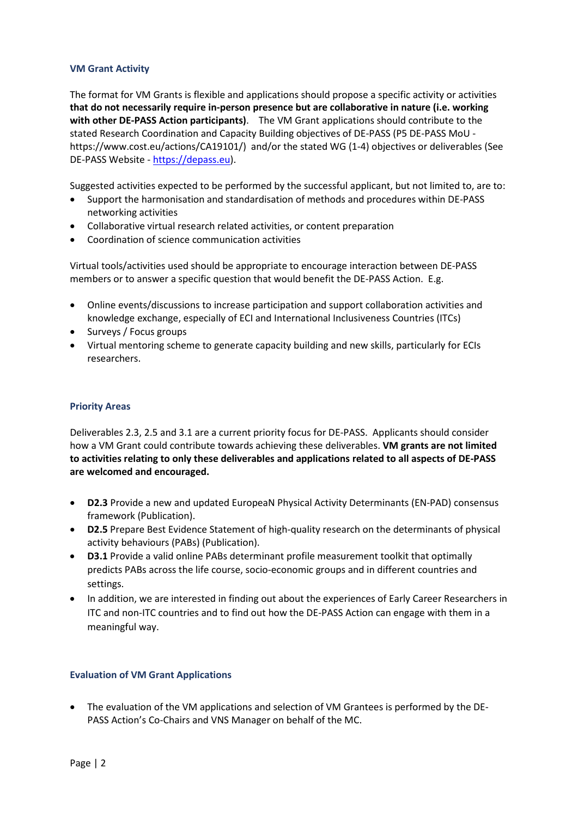#### **VM Grant Activity**

The format for VM Grants is flexible and applications should propose a specific activity or activities **that do not necessarily require in-person presence but are collaborative in nature (i.e. working with other DE-PASS Action participants)**. The VM Grant applications should contribute to the stated Research Coordination and Capacity Building objectives of DE-PASS (P5 DE-PASS MoU https://www.cost.eu/actions/CA19101/) and/or the stated WG (1-4) objectives or deliverables (See DE-PASS Website - [https://depass.eu\)](https://depass.eu/).

Suggested activities expected to be performed by the successful applicant, but not limited to, are to:

- Support the harmonisation and standardisation of methods and procedures within DE-PASS networking activities
- Collaborative virtual research related activities, or content preparation
- Coordination of science communication activities

Virtual tools/activities used should be appropriate to encourage interaction between DE-PASS members or to answer a specific question that would benefit the DE-PASS Action. E.g.

- Online events/discussions to increase participation and support collaboration activities and knowledge exchange, especially of ECI and International Inclusiveness Countries (ITCs)
- Surveys / Focus groups
- Virtual mentoring scheme to generate capacity building and new skills, particularly for ECIs researchers.

#### **Priority Areas**

Deliverables 2.3, 2.5 and 3.1 are a current priority focus for DE-PASS. Applicants should consider how a VM Grant could contribute towards achieving these deliverables. **VM grants are not limited to activities relating to only these deliverables and applications related to all aspects of DE-PASS are welcomed and encouraged.**

- **D2.3** Provide a new and updated EuropeaN Physical Activity Determinants (EN-PAD) consensus framework (Publication).
- **D2.5** Prepare Best Evidence Statement of high-quality research on the determinants of physical activity behaviours (PABs) (Publication).
- **D3.1** Provide a valid online PABs determinant profile measurement toolkit that optimally predicts PABs across the life course, socio-economic groups and in different countries and settings.
- In addition, we are interested in finding out about the experiences of Early Career Researchers in ITC and non-ITC countries and to find out how the DE-PASS Action can engage with them in a meaningful way.

#### **Evaluation of VM Grant Applications**

• The evaluation of the VM applications and selection of VM Grantees is performed by the DE-PASS Action's Co-Chairs and VNS Manager on behalf of the MC.